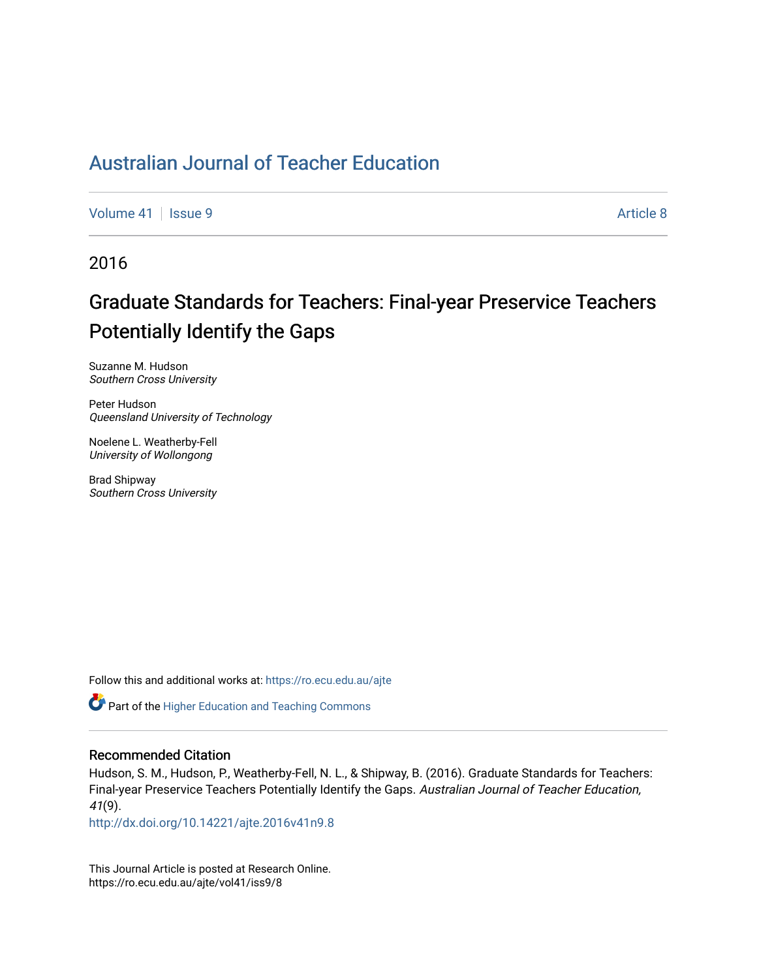## [Australian Journal of Teacher Education](https://ro.ecu.edu.au/ajte)

[Volume 41](https://ro.ecu.edu.au/ajte/vol41) | [Issue 9](https://ro.ecu.edu.au/ajte/vol41/iss9) Article 8

2016

# Graduate Standards for Teachers: Final-year Preservice Teachers Potentially Identify the Gaps

Suzanne M. Hudson Southern Cross University

Peter Hudson Queensland University of Technology

Noelene L. Weatherby-Fell University of Wollongong

Brad Shipway Southern Cross University

Follow this and additional works at: [https://ro.ecu.edu.au/ajte](https://ro.ecu.edu.au/ajte?utm_source=ro.ecu.edu.au%2Fajte%2Fvol41%2Fiss9%2F8&utm_medium=PDF&utm_campaign=PDFCoverPages) 

**Part of the [Higher Education and Teaching Commons](http://network.bepress.com/hgg/discipline/806?utm_source=ro.ecu.edu.au%2Fajte%2Fvol41%2Fiss9%2F8&utm_medium=PDF&utm_campaign=PDFCoverPages)** 

#### Recommended Citation

Hudson, S. M., Hudson, P., Weatherby-Fell, N. L., & Shipway, B. (2016). Graduate Standards for Teachers: Final-year Preservice Teachers Potentially Identify the Gaps. Australian Journal of Teacher Education, 41(9).

<http://dx.doi.org/10.14221/ajte.2016v41n9.8>

This Journal Article is posted at Research Online. https://ro.ecu.edu.au/ajte/vol41/iss9/8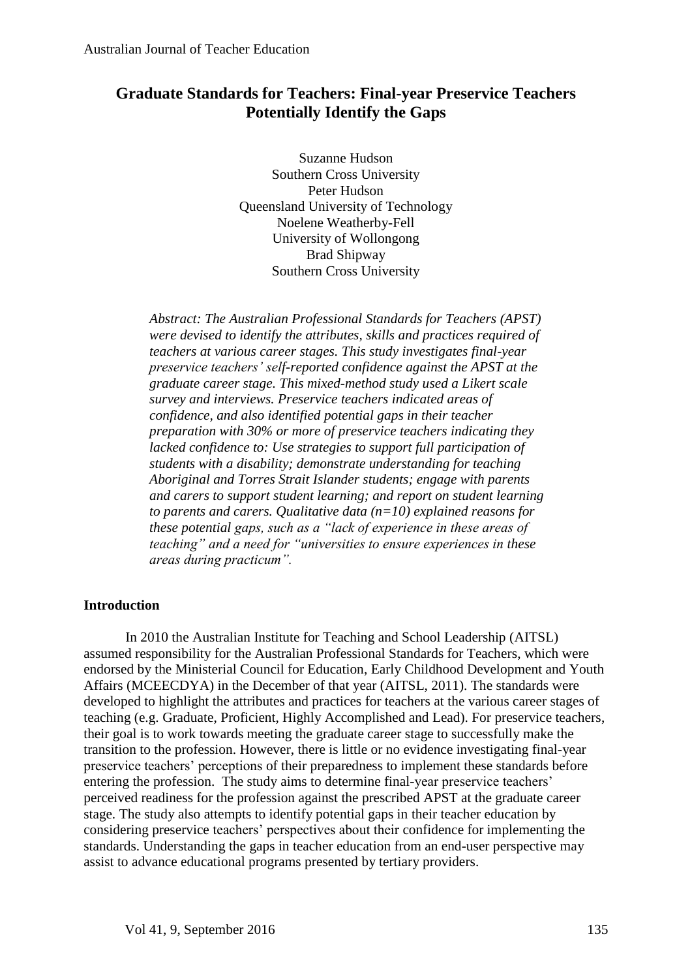## **Graduate Standards for Teachers: Final-year Preservice Teachers Potentially Identify the Gaps**

Suzanne Hudson Southern Cross University Peter Hudson Queensland University of Technology Noelene Weatherby-Fell University of Wollongong Brad Shipway Southern Cross University

*Abstract: The Australian Professional Standards for Teachers (APST) were devised to identify the attributes, skills and practices required of teachers at various career stages. This study investigates final-year preservice teachers' self-reported confidence against the APST at the graduate career stage. This mixed-method study used a Likert scale survey and interviews. Preservice teachers indicated areas of confidence, and also identified potential gaps in their teacher preparation with 30% or more of preservice teachers indicating they lacked confidence to: Use strategies to support full participation of students with a disability; demonstrate understanding for teaching Aboriginal and Torres Strait Islander students; engage with parents and carers to support student learning; and report on student learning to parents and carers. Qualitative data (n=10) explained reasons for these potential gaps, such as a "lack of experience in these areas of teaching" and a need for "universities to ensure experiences in these areas during practicum".* 

## **Introduction**

In 2010 the Australian Institute for Teaching and School Leadership (AITSL) assumed responsibility for the Australian Professional Standards for Teachers, which were endorsed by the Ministerial Council for Education, Early Childhood Development and Youth Affairs (MCEECDYA) in the December of that year (AITSL, 2011). The standards were developed to highlight the attributes and practices for teachers at the various career stages of teaching (e.g. Graduate, Proficient, Highly Accomplished and Lead). For preservice teachers, their goal is to work towards meeting the graduate career stage to successfully make the transition to the profession. However, there is little or no evidence investigating final-year preservice teachers' perceptions of their preparedness to implement these standards before entering the profession. The study aims to determine final-year preservice teachers' perceived readiness for the profession against the prescribed APST at the graduate career stage. The study also attempts to identify potential gaps in their teacher education by considering preservice teachers' perspectives about their confidence for implementing the standards. Understanding the gaps in teacher education from an end-user perspective may assist to advance educational programs presented by tertiary providers.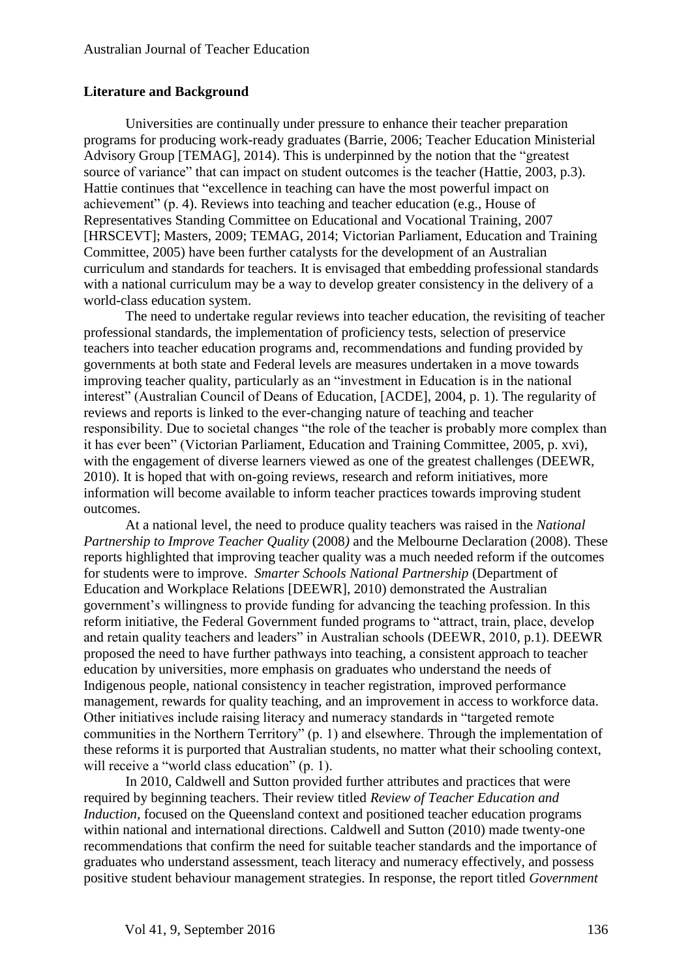## **Literature and Background**

Universities are continually under pressure to enhance their teacher preparation programs for producing work-ready graduates (Barrie, 2006; Teacher Education Ministerial Advisory Group [TEMAG], 2014). This is underpinned by the notion that the "greatest source of variance" that can impact on student outcomes is the teacher (Hattie, 2003, p.3). Hattie continues that "excellence in teaching can have the most powerful impact on achievement" (p. 4). Reviews into teaching and teacher education (e.g., House of Representatives Standing Committee on Educational and Vocational Training, 2007 [HRSCEVT]; Masters, 2009; TEMAG, 2014; Victorian Parliament, Education and Training Committee, 2005) have been further catalysts for the development of an Australian curriculum and standards for teachers. It is envisaged that embedding professional standards with a national curriculum may be a way to develop greater consistency in the delivery of a world-class education system.

The need to undertake regular reviews into teacher education, the revisiting of teacher professional standards, the implementation of proficiency tests, selection of preservice teachers into teacher education programs and, recommendations and funding provided by governments at both state and Federal levels are measures undertaken in a move towards improving teacher quality, particularly as an "investment in Education is in the national interest" (Australian Council of Deans of Education, [ACDE], 2004, p. 1). The regularity of reviews and reports is linked to the ever-changing nature of teaching and teacher responsibility. Due to societal changes "the role of the teacher is probably more complex than it has ever been" (Victorian Parliament, Education and Training Committee, 2005, p. xvi), with the engagement of diverse learners viewed as one of the greatest challenges (DEEWR, 2010). It is hoped that with on-going reviews, research and reform initiatives, more information will become available to inform teacher practices towards improving student outcomes.

At a national level, the need to produce quality teachers was raised in the *National Partnership to Improve Teacher Quality* (2008*)* and the Melbourne Declaration (2008). These reports highlighted that improving teacher quality was a much needed reform if the outcomes for students were to improve. *Smarter Schools National Partnership* (Department of Education and Workplace Relations [DEEWR], 2010) demonstrated the Australian government's willingness to provide funding for advancing the teaching profession. In this reform initiative, the Federal Government funded programs to "attract, train, place, develop and retain quality teachers and leaders" in Australian schools (DEEWR, 2010, p.1). DEEWR proposed the need to have further pathways into teaching, a consistent approach to teacher education by universities, more emphasis on graduates who understand the needs of Indigenous people, national consistency in teacher registration, improved performance management, rewards for quality teaching, and an improvement in access to workforce data. Other initiatives include raising literacy and numeracy standards in "targeted remote communities in the Northern Territory" (p. 1) and elsewhere. Through the implementation of these reforms it is purported that Australian students, no matter what their schooling context, will receive a "world class education" (p. 1).

In 2010, Caldwell and Sutton provided further attributes and practices that were required by beginning teachers. Their review titled *Review of Teacher Education and Induction*, focused on the Queensland context and positioned teacher education programs within national and international directions. Caldwell and Sutton (2010) made twenty-one recommendations that confirm the need for suitable teacher standards and the importance of graduates who understand assessment, teach literacy and numeracy effectively, and possess positive student behaviour management strategies. In response, the report titled *Government*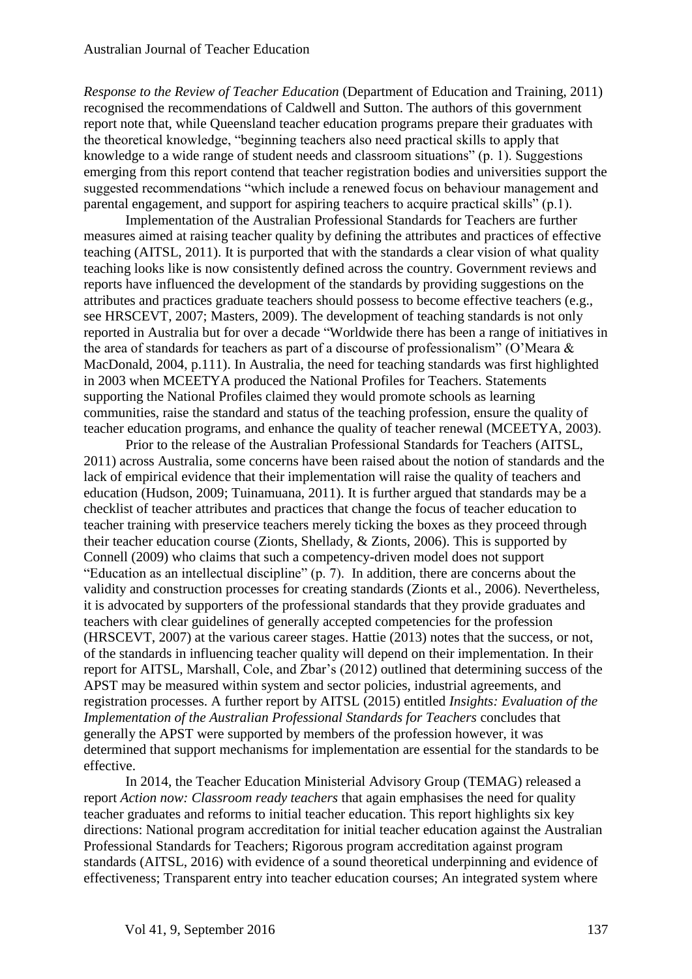*Response to the Review of Teacher Education* (Department of Education and Training, 2011) recognised the recommendations of Caldwell and Sutton. The authors of this government report note that, while Queensland teacher education programs prepare their graduates with the theoretical knowledge, "beginning teachers also need practical skills to apply that knowledge to a wide range of student needs and classroom situations" (p. 1). Suggestions emerging from this report contend that teacher registration bodies and universities support the suggested recommendations "which include a renewed focus on behaviour management and parental engagement, and support for aspiring teachers to acquire practical skills" (p.1).

Implementation of the Australian Professional Standards for Teachers are further measures aimed at raising teacher quality by defining the attributes and practices of effective teaching (AITSL, 2011). It is purported that with the standards a clear vision of what quality teaching looks like is now consistently defined across the country. Government reviews and reports have influenced the development of the standards by providing suggestions on the attributes and practices graduate teachers should possess to become effective teachers (e.g., see HRSCEVT, 2007; Masters, 2009). The development of teaching standards is not only reported in Australia but for over a decade "Worldwide there has been a range of initiatives in the area of standards for teachers as part of a discourse of professionalism" (O'Meara & MacDonald, 2004, p.111). In Australia, the need for teaching standards was first highlighted in 2003 when MCEETYA produced the National Profiles for Teachers. Statements supporting the National Profiles claimed they would promote schools as learning communities, raise the standard and status of the teaching profession, ensure the quality of teacher education programs, and enhance the quality of teacher renewal (MCEETYA, 2003).

Prior to the release of the Australian Professional Standards for Teachers (AITSL, 2011) across Australia, some concerns have been raised about the notion of standards and the lack of empirical evidence that their implementation will raise the quality of teachers and education (Hudson, 2009; Tuinamuana, 2011). It is further argued that standards may be a checklist of teacher attributes and practices that change the focus of teacher education to teacher training with preservice teachers merely ticking the boxes as they proceed through their teacher education course (Zionts, Shellady, & Zionts, 2006). This is supported by Connell (2009) who claims that such a competency-driven model does not support "Education as an intellectual discipline" (p. 7). In addition, there are concerns about the validity and construction processes for creating standards (Zionts et al., 2006). Nevertheless, it is advocated by supporters of the professional standards that they provide graduates and teachers with clear guidelines of generally accepted competencies for the profession (HRSCEVT, 2007) at the various career stages. Hattie (2013) notes that the success, or not, of the standards in influencing teacher quality will depend on their implementation. In their report for AITSL, Marshall, Cole, and Zbar's (2012) outlined that determining success of the APST may be measured within system and sector policies, industrial agreements, and registration processes. A further report by AITSL (2015) entitled *Insights: Evaluation of the Implementation of the Australian Professional Standards for Teachers* concludes that generally the APST were supported by members of the profession however, it was determined that support mechanisms for implementation are essential for the standards to be effective.

In 2014, the Teacher Education Ministerial Advisory Group (TEMAG) released a report *Action now: Classroom ready teachers* that again emphasises the need for quality teacher graduates and reforms to initial teacher education. This report highlights six key directions: National program accreditation for initial teacher education against the Australian Professional Standards for Teachers; Rigorous program accreditation against program standards (AITSL, 2016) with evidence of a sound theoretical underpinning and evidence of effectiveness; Transparent entry into teacher education courses; An integrated system where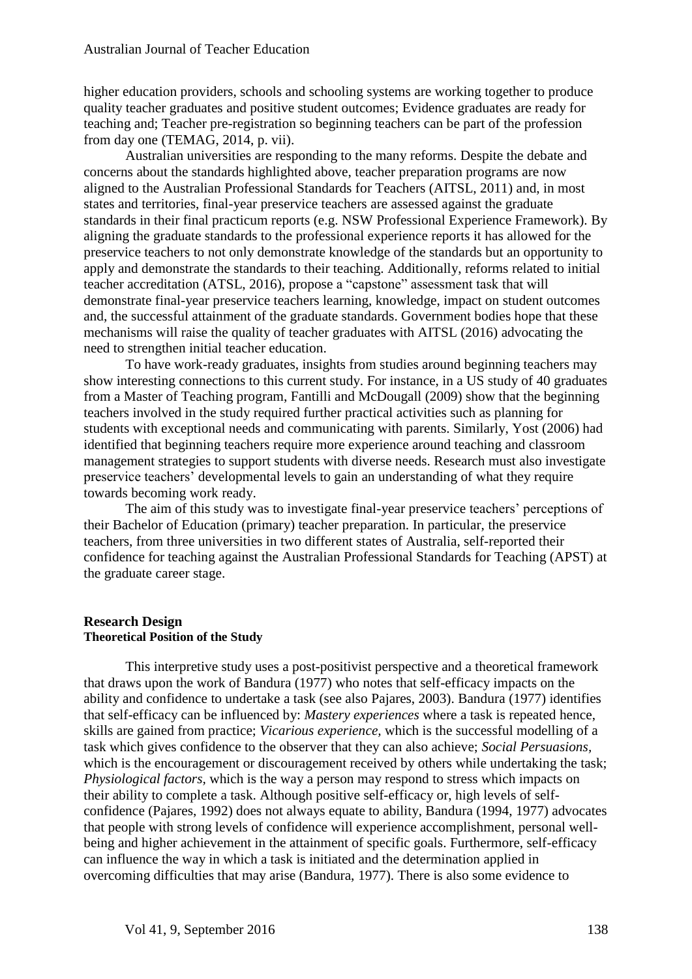higher education providers, schools and schooling systems are working together to produce quality teacher graduates and positive student outcomes; Evidence graduates are ready for teaching and; Teacher pre-registration so beginning teachers can be part of the profession from day one (TEMAG, 2014, p. vii).

Australian universities are responding to the many reforms. Despite the debate and concerns about the standards highlighted above, teacher preparation programs are now aligned to the Australian Professional Standards for Teachers (AITSL, 2011) and, in most states and territories, final-year preservice teachers are assessed against the graduate standards in their final practicum reports (e.g. NSW Professional Experience Framework). By aligning the graduate standards to the professional experience reports it has allowed for the preservice teachers to not only demonstrate knowledge of the standards but an opportunity to apply and demonstrate the standards to their teaching. Additionally, reforms related to initial teacher accreditation (ATSL, 2016), propose a "capstone" assessment task that will demonstrate final-year preservice teachers learning, knowledge, impact on student outcomes and, the successful attainment of the graduate standards. Government bodies hope that these mechanisms will raise the quality of teacher graduates with AITSL (2016) advocating the need to strengthen initial teacher education.

To have work-ready graduates, insights from studies around beginning teachers may show interesting connections to this current study. For instance, in a US study of 40 graduates from a Master of Teaching program, Fantilli and McDougall (2009) show that the beginning teachers involved in the study required further practical activities such as planning for students with exceptional needs and communicating with parents. Similarly, Yost (2006) had identified that beginning teachers require more experience around teaching and classroom management strategies to support students with diverse needs. Research must also investigate preservice teachers' developmental levels to gain an understanding of what they require towards becoming work ready.

The aim of this study was to investigate final-year preservice teachers' perceptions of their Bachelor of Education (primary) teacher preparation. In particular, the preservice teachers, from three universities in two different states of Australia, self-reported their confidence for teaching against the Australian Professional Standards for Teaching (APST) at the graduate career stage.

#### **Research Design Theoretical Position of the Study**

This interpretive study uses a post-positivist perspective and a theoretical framework that draws upon the work of Bandura (1977) who notes that self-efficacy impacts on the ability and confidence to undertake a task (see also Pajares, 2003). Bandura (1977) identifies that self-efficacy can be influenced by: *Mastery experiences* where a task is repeated hence, skills are gained from practice; *Vicarious experience,* which is the successful modelling of a task which gives confidence to the observer that they can also achieve; *Social Persuasions,* which is the encouragement or discouragement received by others while undertaking the task; *Physiological factors,* which is the way a person may respond to stress which impacts on their ability to complete a task. Although positive self-efficacy or, high levels of selfconfidence (Pajares, 1992) does not always equate to ability, Bandura (1994, 1977) advocates that people with strong levels of confidence will experience accomplishment, personal wellbeing and higher achievement in the attainment of specific goals. Furthermore, self-efficacy can influence the way in which a task is initiated and the determination applied in overcoming difficulties that may arise (Bandura, 1977). There is also some evidence to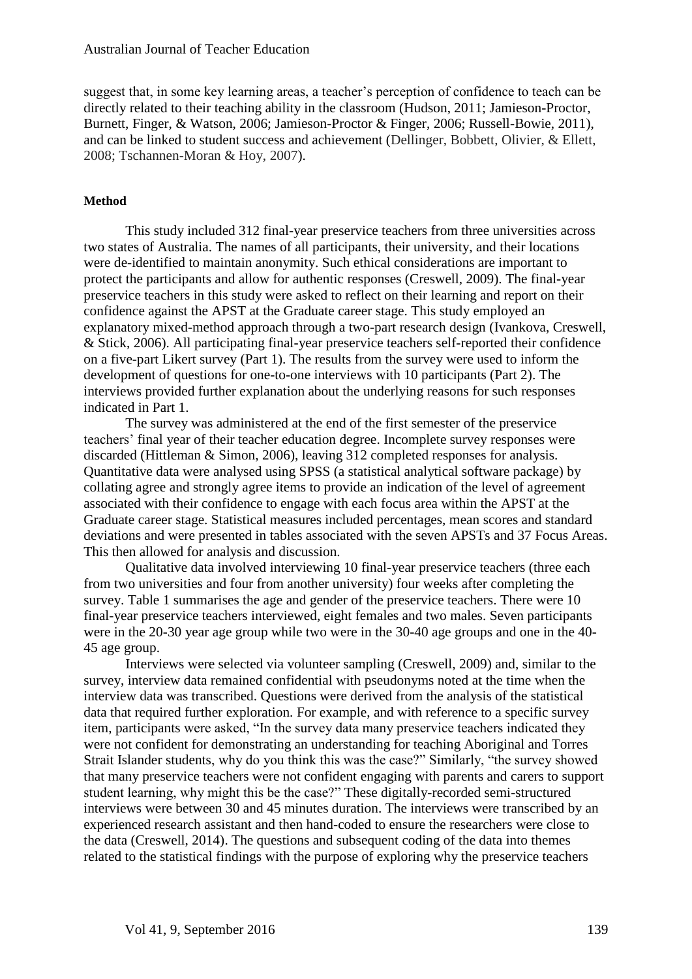suggest that, in some key learning areas, a teacher's perception of confidence to teach can be directly related to their teaching ability in the classroom (Hudson, 2011; Jamieson-Proctor, Burnett, Finger, & Watson, 2006; Jamieson-Proctor & Finger, 2006; Russell-Bowie, 2011), and can be linked to student success and achievement (Dellinger, Bobbett, Olivier, & Ellett, 2008; Tschannen-Moran & Hoy, 2007).

#### **Method**

This study included 312 final-year preservice teachers from three universities across two states of Australia. The names of all participants, their university, and their locations were de-identified to maintain anonymity. Such ethical considerations are important to protect the participants and allow for authentic responses (Creswell, 2009). The final-year preservice teachers in this study were asked to reflect on their learning and report on their confidence against the APST at the Graduate career stage. This study employed an explanatory mixed-method approach through a two-part research design (Ivankova, Creswell, & Stick, 2006). All participating final-year preservice teachers self-reported their confidence on a five-part Likert survey (Part 1). The results from the survey were used to inform the development of questions for one-to-one interviews with 10 participants (Part 2). The interviews provided further explanation about the underlying reasons for such responses indicated in Part 1.

The survey was administered at the end of the first semester of the preservice teachers' final year of their teacher education degree. Incomplete survey responses were discarded (Hittleman & Simon, 2006), leaving 312 completed responses for analysis. Quantitative data were analysed using SPSS (a statistical analytical software package) by collating agree and strongly agree items to provide an indication of the level of agreement associated with their confidence to engage with each focus area within the APST at the Graduate career stage. Statistical measures included percentages, mean scores and standard deviations and were presented in tables associated with the seven APSTs and 37 Focus Areas. This then allowed for analysis and discussion.

Qualitative data involved interviewing 10 final-year preservice teachers (three each from two universities and four from another university) four weeks after completing the survey. Table 1 summarises the age and gender of the preservice teachers. There were 10 final-year preservice teachers interviewed, eight females and two males. Seven participants were in the 20-30 year age group while two were in the 30-40 age groups and one in the 40- 45 age group.

Interviews were selected via volunteer sampling (Creswell, 2009) and, similar to the survey, interview data remained confidential with pseudonyms noted at the time when the interview data was transcribed. Questions were derived from the analysis of the statistical data that required further exploration. For example, and with reference to a specific survey item, participants were asked, "In the survey data many preservice teachers indicated they were not confident for demonstrating an understanding for teaching Aboriginal and Torres Strait Islander students, why do you think this was the case?" Similarly, "the survey showed that many preservice teachers were not confident engaging with parents and carers to support student learning, why might this be the case?" These digitally-recorded semi-structured interviews were between 30 and 45 minutes duration. The interviews were transcribed by an experienced research assistant and then hand-coded to ensure the researchers were close to the data (Creswell, 2014). The questions and subsequent coding of the data into themes related to the statistical findings with the purpose of exploring why the preservice teachers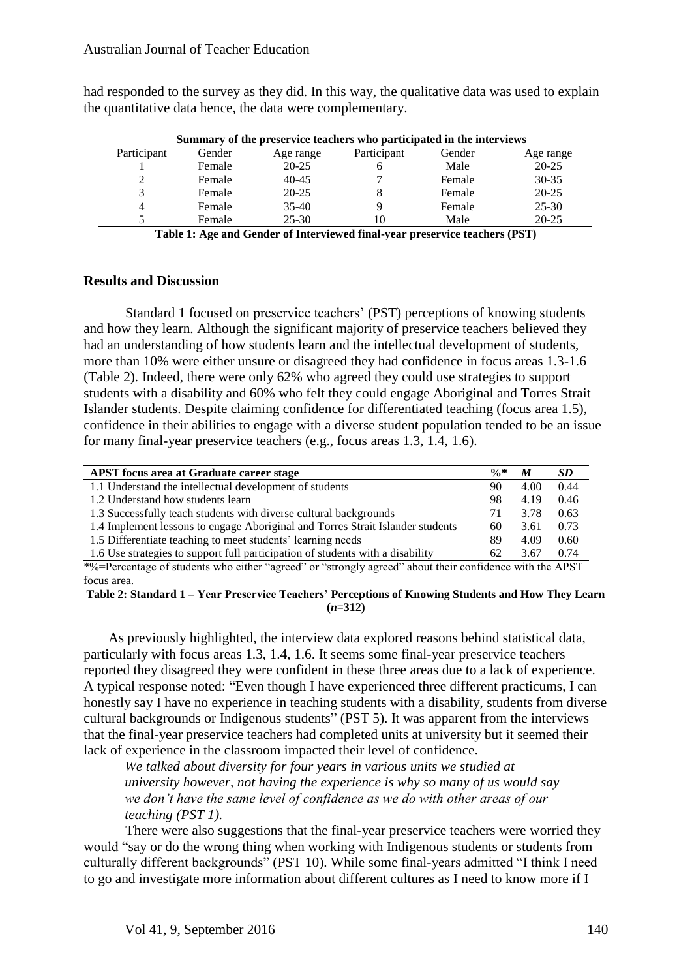| Summary of the preservice teachers who participated in the interviews |        |           |             |        |           |  |
|-----------------------------------------------------------------------|--------|-----------|-------------|--------|-----------|--|
| Participant                                                           | Gender | Age range | Participant | Gender | Age range |  |
|                                                                       | Female | $20 - 25$ |             | Male   | $20 - 25$ |  |
|                                                                       | Female | $40 - 45$ |             | Female | $30 - 35$ |  |
|                                                                       | Female | $20 - 25$ |             | Female | $20 - 25$ |  |
|                                                                       | Female | $35-40$   |             | Female | $25 - 30$ |  |

had responded to the survey as they did. In this way, the qualitative data was used to explain the quantitative data hence, the data were complementary.

> 5 Female 25-30 10 Male 20-25 **Table 1: Age and Gender of Interviewed final-year preservice teachers (PST)**

#### **Results and Discussion**

Standard 1 focused on preservice teachers' (PST) perceptions of knowing students and how they learn. Although the significant majority of preservice teachers believed they had an understanding of how students learn and the intellectual development of students, more than 10% were either unsure or disagreed they had confidence in focus areas 1.3-1.6 (Table 2). Indeed, there were only 62% who agreed they could use strategies to support students with a disability and 60% who felt they could engage Aboriginal and Torres Strait Islander students. Despite claiming confidence for differentiated teaching (focus area 1.5), confidence in their abilities to engage with a diverse student population tended to be an issue for many final-year preservice teachers (e.g., focus areas 1.3, 1.4, 1.6).

| <b>APST</b> focus area at Graduate career stage                                | $\frac{6}{10}$ | M    | SD.  |
|--------------------------------------------------------------------------------|----------------|------|------|
| 1.1 Understand the intellectual development of students                        | 90             | 4.00 | 0.44 |
| 1.2 Understand how students learn                                              | 98             | 4.19 | 0.46 |
| 1.3 Successfully teach students with diverse cultural backgrounds              |                | 3.78 | 0.63 |
| 1.4 Implement lessons to engage Aboriginal and Torres Strait Islander students | 60             | 3.61 | 0.73 |
| 1.5 Differentiate teaching to meet students' learning needs                    | 89             | 4.09 | 0.60 |
| 1.6 Use strategies to support full participation of students with a disability | 62             | 3.67 | 0.74 |
|                                                                                |                |      |      |

\*%=Percentage of students who either "agreed" or "strongly agreed" about their confidence with the APST focus area.

#### **Table 2: Standard 1 – Year Preservice Teachers' Perceptions of Knowing Students and How They Learn (***n***=312)**

As previously highlighted, the interview data explored reasons behind statistical data, particularly with focus areas 1.3, 1.4, 1.6. It seems some final-year preservice teachers reported they disagreed they were confident in these three areas due to a lack of experience. A typical response noted: "Even though I have experienced three different practicums, I can honestly say I have no experience in teaching students with a disability, students from diverse cultural backgrounds or Indigenous students" (PST 5). It was apparent from the interviews that the final-year preservice teachers had completed units at university but it seemed their lack of experience in the classroom impacted their level of confidence.

*We talked about diversity for four years in various units we studied at university however, not having the experience is why so many of us would say we don't have the same level of confidence as we do with other areas of our teaching (PST 1).*

There were also suggestions that the final-year preservice teachers were worried they would "say or do the wrong thing when working with Indigenous students or students from culturally different backgrounds" (PST 10). While some final-years admitted "I think I need to go and investigate more information about different cultures as I need to know more if I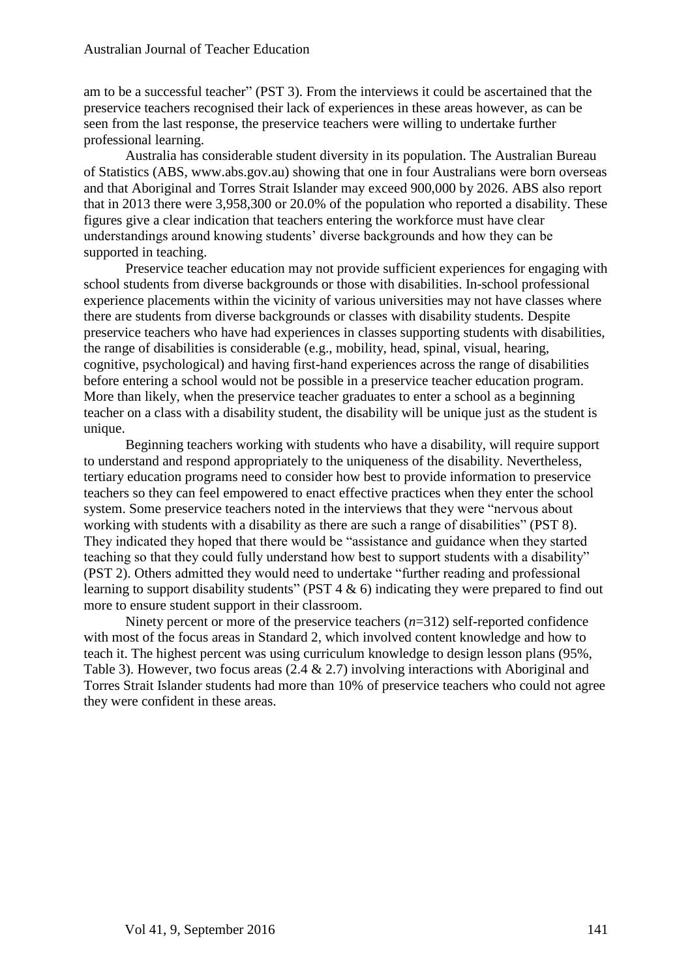am to be a successful teacher" (PST 3). From the interviews it could be ascertained that the preservice teachers recognised their lack of experiences in these areas however, as can be seen from the last response, the preservice teachers were willing to undertake further professional learning.

Australia has considerable student diversity in its population. The Australian Bureau of Statistics (ABS, www.abs.gov.au) showing that one in four Australians were born overseas and that Aboriginal and Torres Strait Islander may exceed 900,000 by 2026. ABS also report that in 2013 there were 3,958,300 or 20.0% of the population who reported a disability. These figures give a clear indication that teachers entering the workforce must have clear understandings around knowing students' diverse backgrounds and how they can be supported in teaching.

Preservice teacher education may not provide sufficient experiences for engaging with school students from diverse backgrounds or those with disabilities. In-school professional experience placements within the vicinity of various universities may not have classes where there are students from diverse backgrounds or classes with disability students. Despite preservice teachers who have had experiences in classes supporting students with disabilities, the range of disabilities is considerable (e.g., mobility, head, spinal, visual, hearing, cognitive, psychological) and having first-hand experiences across the range of disabilities before entering a school would not be possible in a preservice teacher education program. More than likely, when the preservice teacher graduates to enter a school as a beginning teacher on a class with a disability student, the disability will be unique just as the student is unique.

Beginning teachers working with students who have a disability, will require support to understand and respond appropriately to the uniqueness of the disability. Nevertheless, tertiary education programs need to consider how best to provide information to preservice teachers so they can feel empowered to enact effective practices when they enter the school system. Some preservice teachers noted in the interviews that they were "nervous about working with students with a disability as there are such a range of disabilities" (PST 8). They indicated they hoped that there would be "assistance and guidance when they started teaching so that they could fully understand how best to support students with a disability" (PST 2). Others admitted they would need to undertake "further reading and professional learning to support disability students" (PST  $4 \& 6$ ) indicating they were prepared to find out more to ensure student support in their classroom.

Ninety percent or more of the preservice teachers (*n*=312) self-reported confidence with most of the focus areas in Standard 2, which involved content knowledge and how to teach it. The highest percent was using curriculum knowledge to design lesson plans (95%, Table 3). However, two focus areas (2.4 & 2.7) involving interactions with Aboriginal and Torres Strait Islander students had more than 10% of preservice teachers who could not agree they were confident in these areas.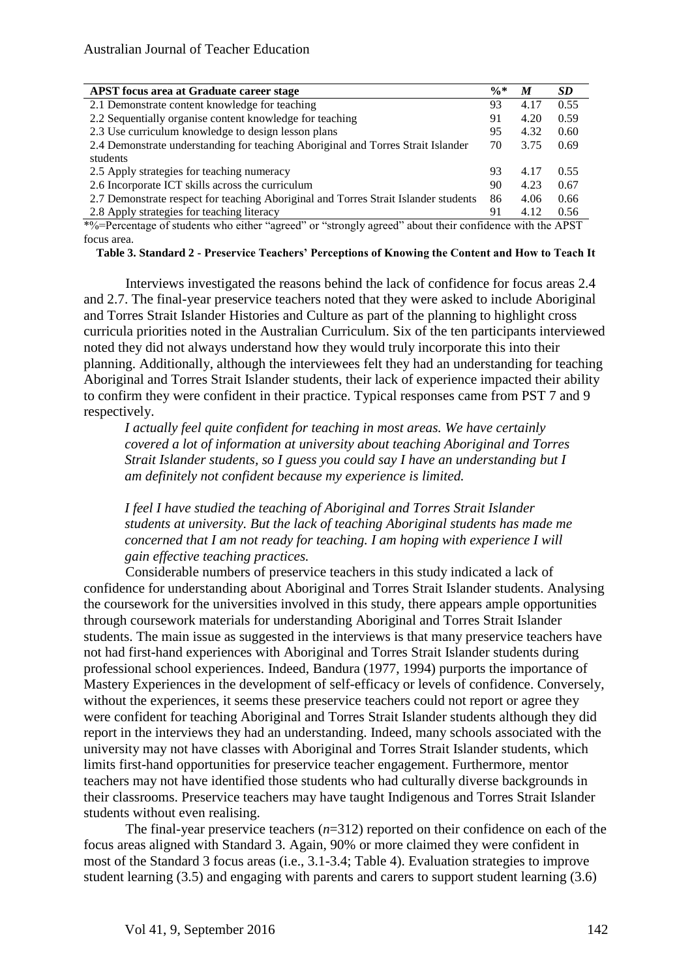| <b>APST</b> focus area at Graduate career stage                                     | $\frac{6}{8}$ | M    | <b>SD</b> |
|-------------------------------------------------------------------------------------|---------------|------|-----------|
| 2.1 Demonstrate content knowledge for teaching                                      | 93            | 4.17 | 0.55      |
| 2.2 Sequentially organise content knowledge for teaching                            | 91            | 4.20 | 0.59      |
| 2.3 Use curriculum knowledge to design lesson plans                                 | 95            | 4.32 | 0.60      |
| 2.4 Demonstrate understanding for teaching Aboriginal and Torres Strait Islander    | 70            | 3.75 | 0.69      |
| students                                                                            |               |      |           |
| 2.5 Apply strategies for teaching numeracy                                          | 93            | 4.17 | 0.55      |
| 2.6 Incorporate ICT skills across the curriculum                                    |               | 4.23 | 0.67      |
| 2.7 Demonstrate respect for teaching Aboriginal and Torres Strait Islander students |               | 4.06 | 0.66      |
| 2.8 Apply strategies for teaching literacy                                          |               | 4.12 | 0.56      |

\*%=Percentage of students who either "agreed" or "strongly agreed" about their confidence with the APST focus area.

**Table 3. Standard 2 - Preservice Teachers' Perceptions of Knowing the Content and How to Teach It**

Interviews investigated the reasons behind the lack of confidence for focus areas 2.4 and 2.7. The final-year preservice teachers noted that they were asked to include Aboriginal and Torres Strait Islander Histories and Culture as part of the planning to highlight cross curricula priorities noted in the Australian Curriculum. Six of the ten participants interviewed noted they did not always understand how they would truly incorporate this into their planning. Additionally, although the interviewees felt they had an understanding for teaching Aboriginal and Torres Strait Islander students, their lack of experience impacted their ability to confirm they were confident in their practice. Typical responses came from PST 7 and 9 respectively.

*I actually feel quite confident for teaching in most areas. We have certainly covered a lot of information at university about teaching Aboriginal and Torres Strait Islander students, so I guess you could say I have an understanding but I am definitely not confident because my experience is limited.*

*I feel I have studied the teaching of Aboriginal and Torres Strait Islander students at university. But the lack of teaching Aboriginal students has made me concerned that I am not ready for teaching. I am hoping with experience I will gain effective teaching practices.*

Considerable numbers of preservice teachers in this study indicated a lack of confidence for understanding about Aboriginal and Torres Strait Islander students. Analysing the coursework for the universities involved in this study, there appears ample opportunities through coursework materials for understanding Aboriginal and Torres Strait Islander students. The main issue as suggested in the interviews is that many preservice teachers have not had first-hand experiences with Aboriginal and Torres Strait Islander students during professional school experiences. Indeed, Bandura (1977, 1994) purports the importance of Mastery Experiences in the development of self-efficacy or levels of confidence. Conversely, without the experiences, it seems these preservice teachers could not report or agree they were confident for teaching Aboriginal and Torres Strait Islander students although they did report in the interviews they had an understanding. Indeed, many schools associated with the university may not have classes with Aboriginal and Torres Strait Islander students, which limits first-hand opportunities for preservice teacher engagement. Furthermore, mentor teachers may not have identified those students who had culturally diverse backgrounds in their classrooms. Preservice teachers may have taught Indigenous and Torres Strait Islander students without even realising.

The final-year preservice teachers (*n*=312) reported on their confidence on each of the focus areas aligned with Standard 3. Again, 90% or more claimed they were confident in most of the Standard 3 focus areas (i.e., 3.1-3.4; Table 4). Evaluation strategies to improve student learning (3.5) and engaging with parents and carers to support student learning (3.6)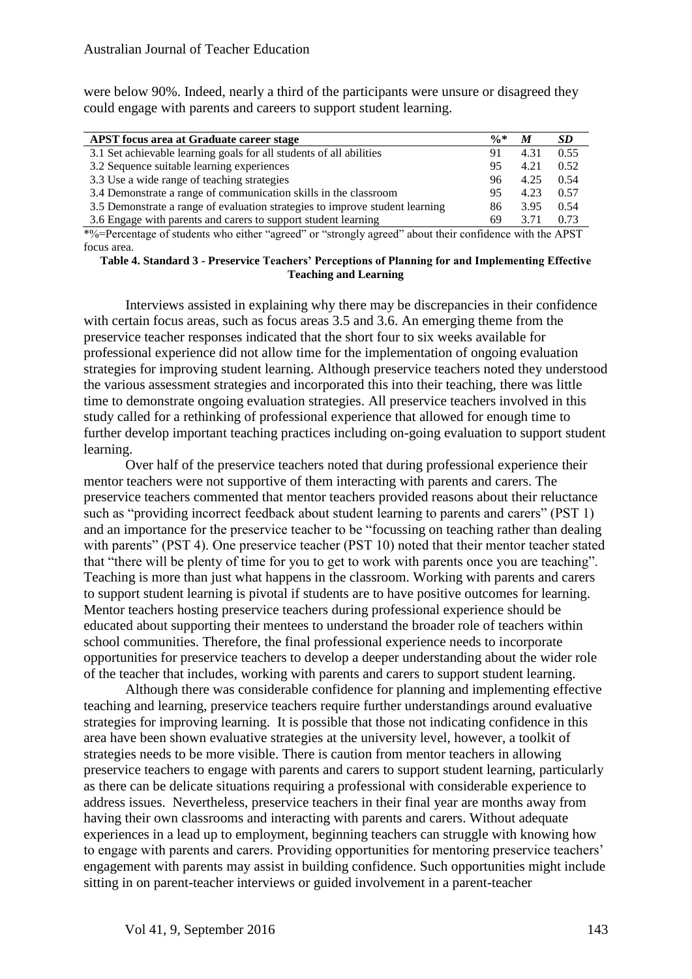were below 90%. Indeed, nearly a third of the participants were unsure or disagreed they could engage with parents and careers to support student learning.

| <b>APST</b> focus area at Graduate career stage                              | $\frac{0}{6}$ * | M    | SD.  |
|------------------------------------------------------------------------------|-----------------|------|------|
| 3.1 Set achievable learning goals for all students of all abilities          | 91              | 4.31 | 0.55 |
| 3.2 Sequence suitable learning experiences                                   | 95              | 4.21 | 0.52 |
| 3.3 Use a wide range of teaching strategies                                  | 96              | 4.25 | 0.54 |
| 3.4 Demonstrate a range of communication skills in the classroom             | 95              | 4.23 | 0.57 |
| 3.5 Demonstrate a range of evaluation strategies to improve student learning | 86              | 3.95 | 0.54 |
| 3.6 Engage with parents and carers to support student learning               | 69              | 3.71 | 0.73 |
|                                                                              |                 |      |      |

\*%=Percentage of students who either "agreed" or "strongly agreed" about their confidence with the APST focus area.

**Table 4. Standard 3 - Preservice Teachers' Perceptions of Planning for and Implementing Effective Teaching and Learning**

Interviews assisted in explaining why there may be discrepancies in their confidence with certain focus areas, such as focus areas 3.5 and 3.6. An emerging theme from the preservice teacher responses indicated that the short four to six weeks available for professional experience did not allow time for the implementation of ongoing evaluation strategies for improving student learning. Although preservice teachers noted they understood the various assessment strategies and incorporated this into their teaching, there was little time to demonstrate ongoing evaluation strategies. All preservice teachers involved in this study called for a rethinking of professional experience that allowed for enough time to further develop important teaching practices including on-going evaluation to support student learning.

Over half of the preservice teachers noted that during professional experience their mentor teachers were not supportive of them interacting with parents and carers. The preservice teachers commented that mentor teachers provided reasons about their reluctance such as "providing incorrect feedback about student learning to parents and carers" (PST 1) and an importance for the preservice teacher to be "focussing on teaching rather than dealing with parents" (PST 4). One preservice teacher (PST 10) noted that their mentor teacher stated that "there will be plenty of time for you to get to work with parents once you are teaching". Teaching is more than just what happens in the classroom. Working with parents and carers to support student learning is pivotal if students are to have positive outcomes for learning. Mentor teachers hosting preservice teachers during professional experience should be educated about supporting their mentees to understand the broader role of teachers within school communities. Therefore, the final professional experience needs to incorporate opportunities for preservice teachers to develop a deeper understanding about the wider role of the teacher that includes, working with parents and carers to support student learning.

Although there was considerable confidence for planning and implementing effective teaching and learning, preservice teachers require further understandings around evaluative strategies for improving learning. It is possible that those not indicating confidence in this area have been shown evaluative strategies at the university level, however, a toolkit of strategies needs to be more visible. There is caution from mentor teachers in allowing preservice teachers to engage with parents and carers to support student learning, particularly as there can be delicate situations requiring a professional with considerable experience to address issues. Nevertheless, preservice teachers in their final year are months away from having their own classrooms and interacting with parents and carers. Without adequate experiences in a lead up to employment, beginning teachers can struggle with knowing how to engage with parents and carers. Providing opportunities for mentoring preservice teachers' engagement with parents may assist in building confidence. Such opportunities might include sitting in on parent-teacher interviews or guided involvement in a parent-teacher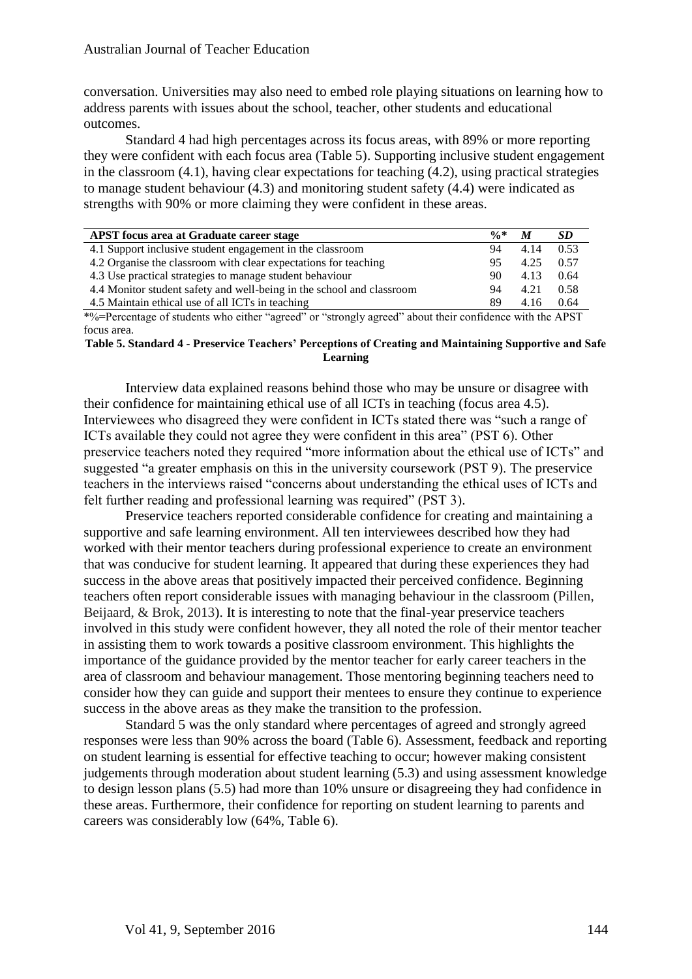conversation. Universities may also need to embed role playing situations on learning how to address parents with issues about the school, teacher, other students and educational outcomes.

Standard 4 had high percentages across its focus areas, with 89% or more reporting they were confident with each focus area (Table 5). Supporting inclusive student engagement in the classroom (4.1), having clear expectations for teaching (4.2), using practical strategies to manage student behaviour (4.3) and monitoring student safety (4.4) were indicated as strengths with 90% or more claiming they were confident in these areas.

| <b>APST</b> focus area at Graduate career stage                                                          | $\frac{0}{6}$ * | M    | SD.  |
|----------------------------------------------------------------------------------------------------------|-----------------|------|------|
| 4.1 Support inclusive student engagement in the classroom                                                | 94              | 4.14 | 0.53 |
| 4.2 Organise the classroom with clear expectations for teaching                                          | 95              | 4.25 | 0.57 |
| 4.3 Use practical strategies to manage student behaviour                                                 | 90              | 4.13 | 0.64 |
| 4.4 Monitor student safety and well-being in the school and classroom                                    | 94              | 4.21 | 0.58 |
| 4.5 Maintain ethical use of all ICTs in teaching                                                         | 89              | 4.16 | 0.64 |
| *0/-Dercentege of students who either "gareed" or "strongly gareed" about their confidence with the ADST |                 |      |      |

\*%=Percentage of students who either "agreed" or "strongly agreed" about their confidence with the APST focus area.

#### **Table 5. Standard 4 - Preservice Teachers' Perceptions of Creating and Maintaining Supportive and Safe Learning**

Interview data explained reasons behind those who may be unsure or disagree with their confidence for maintaining ethical use of all ICTs in teaching (focus area 4.5). Interviewees who disagreed they were confident in ICTs stated there was "such a range of ICTs available they could not agree they were confident in this area" (PST 6). Other preservice teachers noted they required "more information about the ethical use of ICTs" and suggested "a greater emphasis on this in the university coursework (PST 9). The preservice teachers in the interviews raised "concerns about understanding the ethical uses of ICTs and felt further reading and professional learning was required" (PST 3).

Preservice teachers reported considerable confidence for creating and maintaining a supportive and safe learning environment. All ten interviewees described how they had worked with their mentor teachers during professional experience to create an environment that was conducive for student learning. It appeared that during these experiences they had success in the above areas that positively impacted their perceived confidence. Beginning teachers often report considerable issues with managing behaviour in the classroom (Pillen, Beijaard, & Brok, 2013). It is interesting to note that the final-year preservice teachers involved in this study were confident however, they all noted the role of their mentor teacher in assisting them to work towards a positive classroom environment. This highlights the importance of the guidance provided by the mentor teacher for early career teachers in the area of classroom and behaviour management. Those mentoring beginning teachers need to consider how they can guide and support their mentees to ensure they continue to experience success in the above areas as they make the transition to the profession.

Standard 5 was the only standard where percentages of agreed and strongly agreed responses were less than 90% across the board (Table 6). Assessment, feedback and reporting on student learning is essential for effective teaching to occur; however making consistent judgements through moderation about student learning (5.3) and using assessment knowledge to design lesson plans (5.5) had more than 10% unsure or disagreeing they had confidence in these areas. Furthermore, their confidence for reporting on student learning to parents and careers was considerably low (64%, Table 6).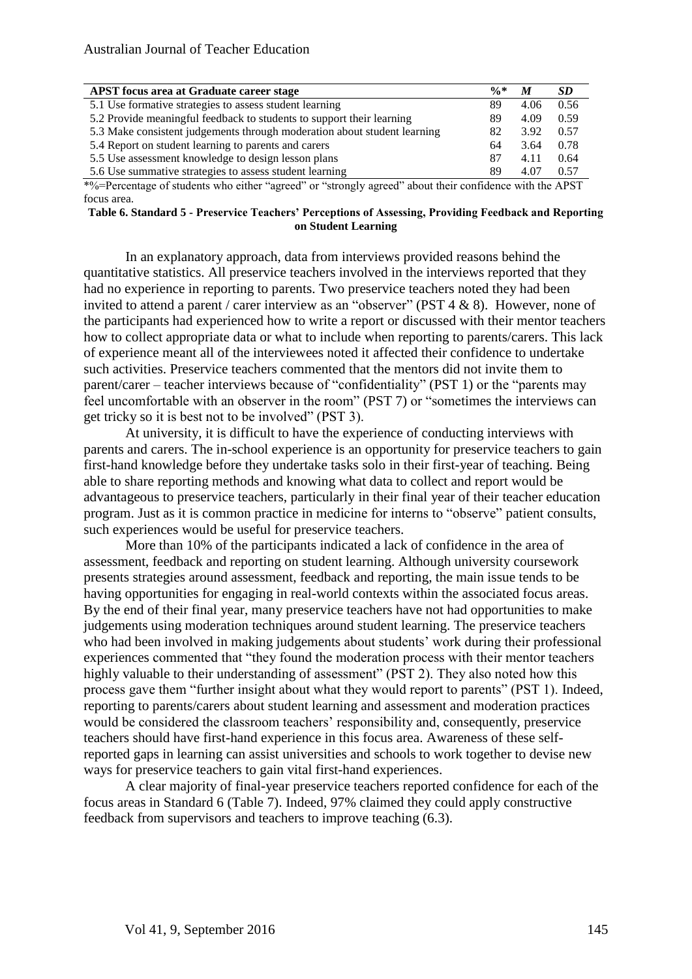| <b>APST</b> focus area at Graduate career stage                          | $\frac{0}{6}$ * | M    | SD   |
|--------------------------------------------------------------------------|-----------------|------|------|
| 5.1 Use formative strategies to assess student learning                  | 89              | 4.06 | 0.56 |
| 5.2 Provide meaningful feedback to students to support their learning    | 89              | 4.09 | 0.59 |
| 5.3 Make consistent judgements through moderation about student learning | 82              | 3.92 | 0.57 |
| 5.4 Report on student learning to parents and carers                     | 64              | 3.64 | 0.78 |
| 5.5 Use assessment knowledge to design lesson plans                      | 87              | 4.11 | 0.64 |
| 5.6 Use summative strategies to assess student learning                  | 89              | 4.07 | 0.57 |
|                                                                          |                 |      |      |

\*%=Percentage of students who either "agreed" or "strongly agreed" about their confidence with the APST focus area.

**Table 6. Standard 5 - Preservice Teachers' Perceptions of Assessing, Providing Feedback and Reporting on Student Learning**

In an explanatory approach, data from interviews provided reasons behind the quantitative statistics. All preservice teachers involved in the interviews reported that they had no experience in reporting to parents. Two preservice teachers noted they had been invited to attend a parent / carer interview as an "observer" (PST 4  $\&$  8). However, none of the participants had experienced how to write a report or discussed with their mentor teachers how to collect appropriate data or what to include when reporting to parents/carers. This lack of experience meant all of the interviewees noted it affected their confidence to undertake such activities. Preservice teachers commented that the mentors did not invite them to parent/carer – teacher interviews because of "confidentiality" (PST 1) or the "parents may feel uncomfortable with an observer in the room" (PST 7) or "sometimes the interviews can get tricky so it is best not to be involved" (PST 3).

At university, it is difficult to have the experience of conducting interviews with parents and carers. The in-school experience is an opportunity for preservice teachers to gain first-hand knowledge before they undertake tasks solo in their first-year of teaching. Being able to share reporting methods and knowing what data to collect and report would be advantageous to preservice teachers, particularly in their final year of their teacher education program. Just as it is common practice in medicine for interns to "observe" patient consults, such experiences would be useful for preservice teachers.

More than 10% of the participants indicated a lack of confidence in the area of assessment, feedback and reporting on student learning. Although university coursework presents strategies around assessment, feedback and reporting, the main issue tends to be having opportunities for engaging in real-world contexts within the associated focus areas. By the end of their final year, many preservice teachers have not had opportunities to make judgements using moderation techniques around student learning. The preservice teachers who had been involved in making judgements about students' work during their professional experiences commented that "they found the moderation process with their mentor teachers highly valuable to their understanding of assessment" (PST 2). They also noted how this process gave them "further insight about what they would report to parents" (PST 1). Indeed, reporting to parents/carers about student learning and assessment and moderation practices would be considered the classroom teachers' responsibility and, consequently, preservice teachers should have first-hand experience in this focus area. Awareness of these selfreported gaps in learning can assist universities and schools to work together to devise new ways for preservice teachers to gain vital first-hand experiences.

A clear majority of final-year preservice teachers reported confidence for each of the focus areas in Standard 6 (Table 7). Indeed, 97% claimed they could apply constructive feedback from supervisors and teachers to improve teaching (6.3).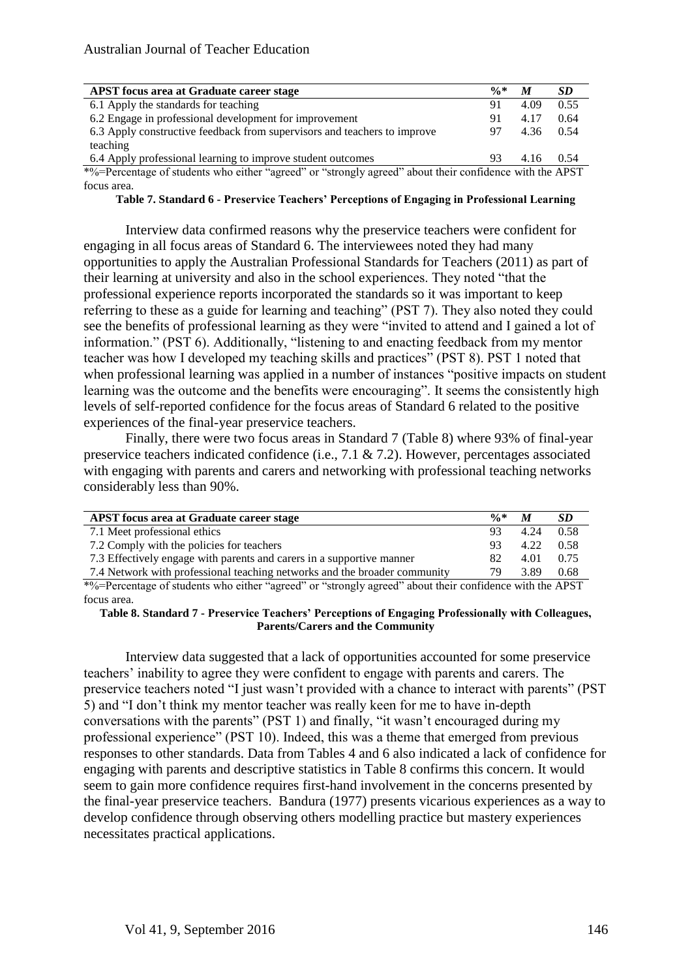| <b>APST</b> focus area at Graduate career stage                                                               | $\frac{0}{6}$ * | M         | <b>SD</b> |  |
|---------------------------------------------------------------------------------------------------------------|-----------------|-----------|-----------|--|
| 6.1 Apply the standards for teaching                                                                          | 91              | 4.09      | 0.55      |  |
| 6.2 Engage in professional development for improvement                                                        | 91              | 4.17      | 0.64      |  |
| 6.3 Apply constructive feedback from supervisors and teachers to improve                                      | 97.             | 4.36 0.54 |           |  |
| teaching                                                                                                      |                 |           |           |  |
| 6.4 Apply professional learning to improve student outcomes                                                   | 93.             | 4.16 0.54 |           |  |
| $*0/-D$ creantege of students who either "egraped" or "etropoly egraped" shout their confidence with the ADCT |                 |           |           |  |

\*%=Percentage of students who either "agreed" or "strongly agreed" about their confidence with the APST focus area.

**Table 7. Standard 6 - Preservice Teachers' Perceptions of Engaging in Professional Learning**

Interview data confirmed reasons why the preservice teachers were confident for engaging in all focus areas of Standard 6. The interviewees noted they had many opportunities to apply the Australian Professional Standards for Teachers (2011) as part of their learning at university and also in the school experiences. They noted "that the professional experience reports incorporated the standards so it was important to keep referring to these as a guide for learning and teaching" (PST 7). They also noted they could see the benefits of professional learning as they were "invited to attend and I gained a lot of information." (PST 6). Additionally, "listening to and enacting feedback from my mentor teacher was how I developed my teaching skills and practices" (PST 8). PST 1 noted that when professional learning was applied in a number of instances "positive impacts on student learning was the outcome and the benefits were encouraging". It seems the consistently high levels of self-reported confidence for the focus areas of Standard 6 related to the positive experiences of the final-year preservice teachers.

Finally, there were two focus areas in Standard 7 (Table 8) where 93% of final-year preservice teachers indicated confidence (i.e., 7.1 & 7.2). However, percentages associated with engaging with parents and carers and networking with professional teaching networks considerably less than 90%.

| $\frac{0}{6}$ * | M    | -SD    |
|-----------------|------|--------|
| 93              | 4.24 | - 0.58 |
| 93.             | 4.22 | 0.58   |
| 82              | 4.01 | 0.75   |
| 79              | 3.89 | 0.68   |
|                 |      |        |

\*%=Percentage of students who either "agreed" or "strongly agreed" about their confidence with the APST focus area.

**Table 8. Standard 7 - Preservice Teachers' Perceptions of Engaging Professionally with Colleagues, Parents/Carers and the Community**

Interview data suggested that a lack of opportunities accounted for some preservice teachers' inability to agree they were confident to engage with parents and carers. The preservice teachers noted "I just wasn't provided with a chance to interact with parents" (PST 5) and "I don't think my mentor teacher was really keen for me to have in-depth conversations with the parents" (PST 1) and finally, "it wasn't encouraged during my professional experience" (PST 10). Indeed, this was a theme that emerged from previous responses to other standards. Data from Tables 4 and 6 also indicated a lack of confidence for engaging with parents and descriptive statistics in Table 8 confirms this concern. It would seem to gain more confidence requires first-hand involvement in the concerns presented by the final-year preservice teachers. Bandura (1977) presents vicarious experiences as a way to develop confidence through observing others modelling practice but mastery experiences necessitates practical applications.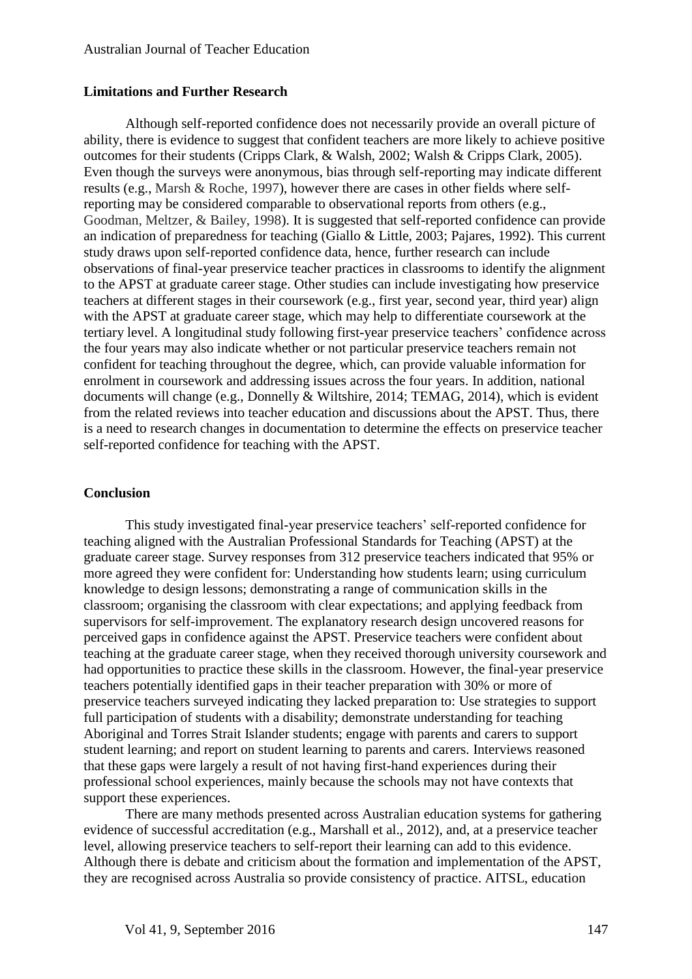#### **Limitations and Further Research**

Although self-reported confidence does not necessarily provide an overall picture of ability, there is evidence to suggest that confident teachers are more likely to achieve positive outcomes for their students (Cripps Clark, & Walsh, 2002; Walsh & Cripps Clark, 2005). Even though the surveys were anonymous, bias through self-reporting may indicate different results (e.g., Marsh & Roche, 1997), however there are cases in other fields where selfreporting may be considered comparable to observational reports from others (e.g., Goodman, Meltzer, & Bailey, 1998). It is suggested that self-reported confidence can provide an indication of preparedness for teaching (Giallo & Little, 2003; Pajares, 1992). This current study draws upon self-reported confidence data, hence, further research can include observations of final-year preservice teacher practices in classrooms to identify the alignment to the APST at graduate career stage. Other studies can include investigating how preservice teachers at different stages in their coursework (e.g., first year, second year, third year) align with the APST at graduate career stage, which may help to differentiate coursework at the tertiary level. A longitudinal study following first-year preservice teachers' confidence across the four years may also indicate whether or not particular preservice teachers remain not confident for teaching throughout the degree, which, can provide valuable information for enrolment in coursework and addressing issues across the four years. In addition, national documents will change (e.g., Donnelly & Wiltshire, 2014; TEMAG, 2014), which is evident from the related reviews into teacher education and discussions about the APST. Thus, there is a need to research changes in documentation to determine the effects on preservice teacher self-reported confidence for teaching with the APST.

#### **Conclusion**

This study investigated final-year preservice teachers' self-reported confidence for teaching aligned with the Australian Professional Standards for Teaching (APST) at the graduate career stage. Survey responses from 312 preservice teachers indicated that 95% or more agreed they were confident for: Understanding how students learn; using curriculum knowledge to design lessons; demonstrating a range of communication skills in the classroom; organising the classroom with clear expectations; and applying feedback from supervisors for self-improvement. The explanatory research design uncovered reasons for perceived gaps in confidence against the APST. Preservice teachers were confident about teaching at the graduate career stage, when they received thorough university coursework and had opportunities to practice these skills in the classroom. However, the final-year preservice teachers potentially identified gaps in their teacher preparation with 30% or more of preservice teachers surveyed indicating they lacked preparation to: Use strategies to support full participation of students with a disability; demonstrate understanding for teaching Aboriginal and Torres Strait Islander students; engage with parents and carers to support student learning; and report on student learning to parents and carers. Interviews reasoned that these gaps were largely a result of not having first-hand experiences during their professional school experiences, mainly because the schools may not have contexts that support these experiences.

There are many methods presented across Australian education systems for gathering evidence of successful accreditation (e.g., Marshall et al., 2012), and, at a preservice teacher level, allowing preservice teachers to self-report their learning can add to this evidence. Although there is debate and criticism about the formation and implementation of the APST, they are recognised across Australia so provide consistency of practice. AITSL, education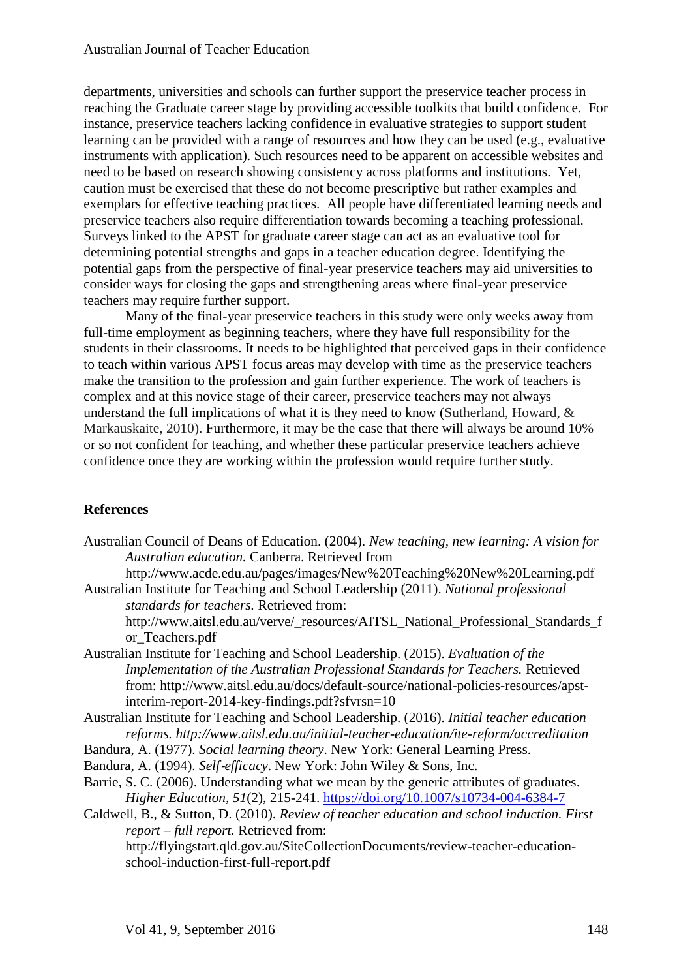departments, universities and schools can further support the preservice teacher process in reaching the Graduate career stage by providing accessible toolkits that build confidence. For instance, preservice teachers lacking confidence in evaluative strategies to support student learning can be provided with a range of resources and how they can be used (e.g., evaluative instruments with application). Such resources need to be apparent on accessible websites and need to be based on research showing consistency across platforms and institutions. Yet, caution must be exercised that these do not become prescriptive but rather examples and exemplars for effective teaching practices. All people have differentiated learning needs and preservice teachers also require differentiation towards becoming a teaching professional. Surveys linked to the APST for graduate career stage can act as an evaluative tool for determining potential strengths and gaps in a teacher education degree. Identifying the potential gaps from the perspective of final-year preservice teachers may aid universities to consider ways for closing the gaps and strengthening areas where final-year preservice teachers may require further support.

Many of the final-year preservice teachers in this study were only weeks away from full-time employment as beginning teachers, where they have full responsibility for the students in their classrooms. It needs to be highlighted that perceived gaps in their confidence to teach within various APST focus areas may develop with time as the preservice teachers make the transition to the profession and gain further experience. The work of teachers is complex and at this novice stage of their career, preservice teachers may not always understand the full implications of what it is they need to know (Sutherland, Howard, & Markauskaite, 2010). Furthermore, it may be the case that there will always be around 10% or so not confident for teaching, and whether these particular preservice teachers achieve confidence once they are working within the profession would require further study.

## **References**

Australian Council of Deans of Education. (2004). *New teaching, new learning: A vision for Australian education.* Canberra. Retrieved from

<http://www.acde.edu.au/pages/images/New%20Teaching%20New%20Learning.pdf> Australian Institute for Teaching and School Leadership (2011). *National professional* 

*standards for teachers.* Retrieved from: [http://www.aitsl.edu.au/verve/\\_resources/AITSL\\_National\\_Professional\\_Standards\\_f](http://www.aitsl.edu.au/verve/_resources/AITSL_National_Professional_Standards_for_Teachers.pdf) [or\\_Teachers.pdf](http://www.aitsl.edu.au/verve/_resources/AITSL_National_Professional_Standards_for_Teachers.pdf)

Australian Institute for Teaching and School Leadership. (2015). *Evaluation of the Implementation of the Australian Professional Standards for Teachers.* Retrieved from: [http://www.aitsl.edu.au/docs/default-source/national-policies-resources/apst](http://www.aitsl.edu.au/docs/default-source/national-policies-resources/apst-interim-report-2014-key-findings.pdf?sfvrsn=10)[interim-report-2014-key-findings.pdf?sfvrsn=10](http://www.aitsl.edu.au/docs/default-source/national-policies-resources/apst-interim-report-2014-key-findings.pdf?sfvrsn=10)

Australian Institute for Teaching and School Leadership. (2016). *Initial teacher education reforms. http://www.aitsl.edu.au/initial-teacher-education/ite-reform/accreditation*

Bandura, A. (1977). *Social learning theory*. New York: General Learning Press.

Bandura, A. (1994). *Self-efficacy*. New York: John Wiley & Sons, Inc.

Barrie, S. C. (2006). Understanding what we mean by the generic attributes of graduates. *Higher Education, 51*(2), 215-241.<https://doi.org/10.1007/s10734-004-6384-7>

Caldwell, B., & Sutton, D. (2010). *Review of teacher education and school induction. First report – full report.* Retrieved from:

[http://flyingstart.qld.gov.au/SiteCollectionDocuments/review-teacher-education](http://flyingstart.qld.gov.au/SiteCollectionDocuments/review-teacher-education-school-induction-first-full-report.pdf)[school-induction-first-full-report.pdf](http://flyingstart.qld.gov.au/SiteCollectionDocuments/review-teacher-education-school-induction-first-full-report.pdf)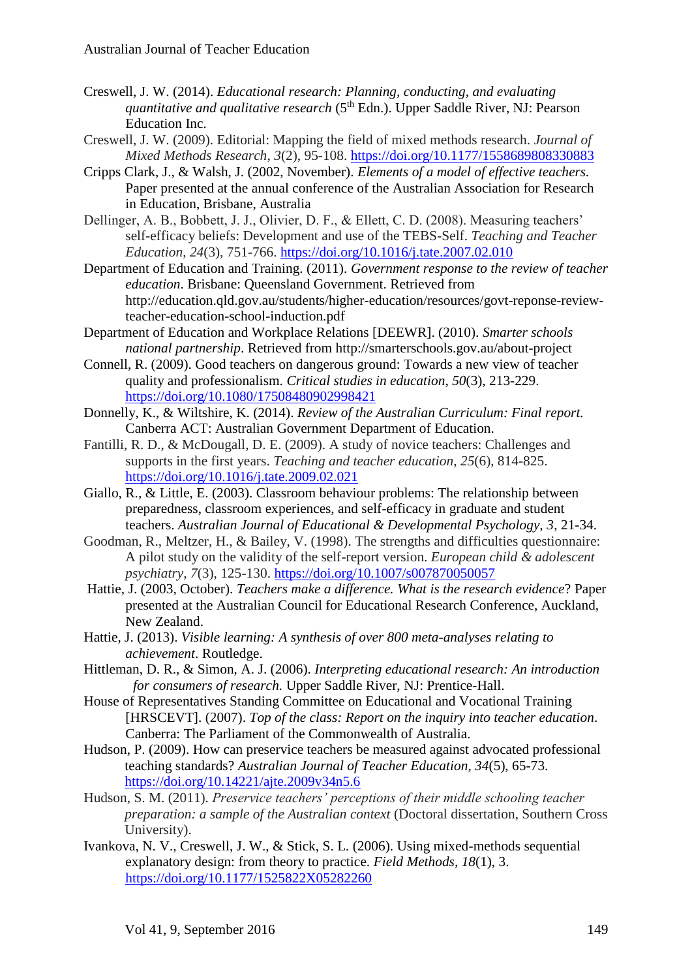- Creswell, J. W. (2014). *Educational research: Planning, conducting, and evaluating quantitative and qualitative research* (5<sup>th</sup> Edn.). Upper Saddle River, NJ: Pearson Education Inc.
- Creswell, J. W. (2009). Editorial: Mapping the field of mixed methods research. *Journal of Mixed Methods Research*, *3*(2), 95-108. <https://doi.org/10.1177/1558689808330883>
- Cripps Clark, J., & Walsh, J. (2002, November). *Elements of a model of effective teachers.* Paper presented at the annual conference of the Australian Association for Research in Education, Brisbane, Australia
- Dellinger, A. B., Bobbett, J. J., Olivier, D. F., & Ellett, C. D. (2008). Measuring teachers' self-efficacy beliefs: Development and use of the TEBS-Self. *Teaching and Teacher Education*, *24*(3), 751-766. <https://doi.org/10.1016/j.tate.2007.02.010>
- Department of Education and Training. (2011). *Government response to the review of teacher education*. Brisbane: Queensland Government. Retrieved from [http://education.qld.gov.au/students/higher-education/resources/govt-reponse-review](http://education.qld.gov.au/students/higher-education/resources/govt-reponse-review-teacher-education-school-induction.pdf)[teacher-education-school-induction.pdf](http://education.qld.gov.au/students/higher-education/resources/govt-reponse-review-teacher-education-school-induction.pdf)
- Department of Education and Workplace Relations [DEEWR]. (2010). *Smarter schools national partnership*. Retrieved from<http://smarterschools.gov.au/about-project>
- Connell, R. (2009). Good teachers on dangerous ground: Towards a new view of teacher quality and professionalism. *Critical studies in education*, *50*(3), 213-229. <https://doi.org/10.1080/17508480902998421>
- Donnelly, K., & Wiltshire, K. (2014). *Review of the Australian Curriculum: Final report.*  Canberra ACT: Australian Government Department of Education.
- Fantilli, R. D., & McDougall, D. E. (2009). A study of novice teachers: Challenges and supports in the first years. *Teaching and teacher education*, *25*(6), 814-825. <https://doi.org/10.1016/j.tate.2009.02.021>
- Giallo, R., & Little, E. (2003). Classroom behaviour problems: The relationship between preparedness, classroom experiences, and self-efficacy in graduate and student teachers. *Australian Journal of Educational & Developmental Psychology, 3*, 21-34.
- Goodman, R., Meltzer, H., & Bailey, V. (1998). The strengths and difficulties questionnaire: A pilot study on the validity of the self-report version. *European child & adolescent psychiatry*, *7*(3), 125-130. <https://doi.org/10.1007/s007870050057>
- Hattie, J. (2003, October). *Teachers make a difference. What is the research evidence*? Paper presented at the Australian Council for Educational Research Conference, Auckland, New Zealand.
- Hattie, J. (2013). *Visible learning: A synthesis of over 800 meta-analyses relating to achievement*. Routledge.
- Hittleman, D. R., & Simon, A. J. (2006). *Interpreting educational research: An introduction for consumers of research.* Upper Saddle River, NJ: Prentice-Hall.
- House of Representatives Standing Committee on Educational and Vocational Training [HRSCEVT]. (2007). *Top of the class: Report on the inquiry into teacher education*. Canberra: The Parliament of the Commonwealth of Australia.
- Hudson, P. (2009). How can preservice teachers be measured against advocated professional teaching standards? *Australian Journal of Teacher Education, 34*(5), 65-73. <https://doi.org/10.14221/ajte.2009v34n5.6>
- Hudson, S. M. (2011). *Preservice teachers' perceptions of their middle schooling teacher preparation: a sample of the Australian context* (Doctoral dissertation, Southern Cross University).
- Ivankova, N. V., Creswell, J. W., & Stick, S. L. (2006). Using mixed-methods sequential explanatory design: from theory to practice. *Field Methods, 18*(1), 3. <https://doi.org/10.1177/1525822X05282260>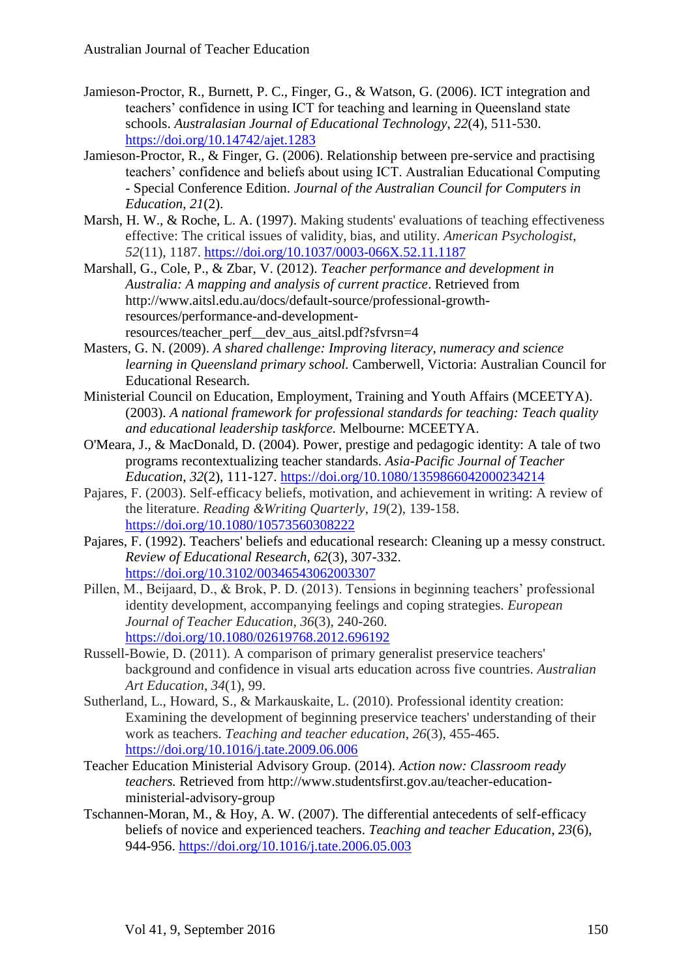- Jamieson-Proctor, R., Burnett, P. C., Finger, G., & Watson, G. (2006). ICT integration and teachers' confidence in using ICT for teaching and learning in Queensland state schools. *Australasian Journal of Educational Technology*, *22*(4), 511-530. <https://doi.org/10.14742/ajet.1283>
- Jamieson-Proctor, R., & Finger, G. (2006). Relationship between pre-service and practising teachers' confidence and beliefs about using ICT. Australian Educational Computing - Special Conference Edition. *Journal of the Australian Council for Computers in Education*, *21*(2).
- Marsh, H. W., & Roche, L. A. (1997). Making students' evaluations of teaching effectiveness effective: The critical issues of validity, bias, and utility. *American Psychologist*, *52*(11), 1187. <https://doi.org/10.1037/0003-066X.52.11.1187>
- Marshall, G., Cole, P., & Zbar, V. (2012). *Teacher performance and development in Australia: A mapping and analysis of current practice*. Retrieved from [http://www.aitsl.edu.au/docs/default-source/professional-growth](http://www.aitsl.edu.au/docs/default-source/professional-growth-resources/performance-and-development-resources/teacher_perf__dev_aus_aitsl.pdf?sfvrsn=4)[resources/performance-and-development](http://www.aitsl.edu.au/docs/default-source/professional-growth-resources/performance-and-development-resources/teacher_perf__dev_aus_aitsl.pdf?sfvrsn=4)[resources/teacher\\_perf\\_\\_dev\\_aus\\_aitsl.pdf?sfvrsn=4](http://www.aitsl.edu.au/docs/default-source/professional-growth-resources/performance-and-development-resources/teacher_perf__dev_aus_aitsl.pdf?sfvrsn=4)
- Masters, G. N. (2009). *A shared challenge: Improving literacy, numeracy and science learning in Queensland primary school.* Camberwell, Victoria: Australian Council for Educational Research.
- Ministerial Council on Education, Employment, Training and Youth Affairs (MCEETYA). (2003). *A national framework for professional standards for teaching: Teach quality and educational leadership taskforce.* Melbourne: MCEETYA.
- O'Meara, J., & MacDonald, D. (2004). Power, prestige and pedagogic identity: A tale of two programs recontextualizing teacher standards. *Asia-Pacific Journal of Teacher Education*, *32*(2), 111-127. <https://doi.org/10.1080/1359866042000234214>
- Pajares, F. (2003). Self-efficacy beliefs, motivation, and achievement in writing: A review of the literature. *Reading &Writing Quarterly*, *19*(2), 139-158. <https://doi.org/10.1080/10573560308222>
- Pajares, F. (1992). Teachers' beliefs and educational research: Cleaning up a messy construct. *Review of Educational Research, 62*(3), 307-332. <https://doi.org/10.3102/00346543062003307>
- Pillen, M., Beijaard, D., & Brok, P. D. (2013). Tensions in beginning teachers' professional identity development, accompanying feelings and coping strategies. *European Journal of Teacher Education*, *36*(3), 240-260. <https://doi.org/10.1080/02619768.2012.696192>
- Russell-Bowie, D. (2011). A comparison of primary generalist preservice teachers' background and confidence in visual arts education across five countries. *Australian Art Education*, *34*(1), 99.
- Sutherland, L., Howard, S., & Markauskaite, L. (2010). Professional identity creation: Examining the development of beginning preservice teachers' understanding of their work as teachers. *Teaching and teacher education*, *26*(3), 455-465. <https://doi.org/10.1016/j.tate.2009.06.006>
- Teacher Education Ministerial Advisory Group. (2014). *Action now: Classroom ready teachers.* Retrieved from [http://www.studentsfirst.gov.au/teacher-education](http://www.studentsfirst.gov.au/teacher-education-ministerial-advisory-group)[ministerial-advisory-group](http://www.studentsfirst.gov.au/teacher-education-ministerial-advisory-group)
- Tschannen-Moran, M., & Hoy, A. W. (2007). The differential antecedents of self-efficacy beliefs of novice and experienced teachers. *Teaching and teacher Education*, *23*(6), 944-956. <https://doi.org/10.1016/j.tate.2006.05.003>